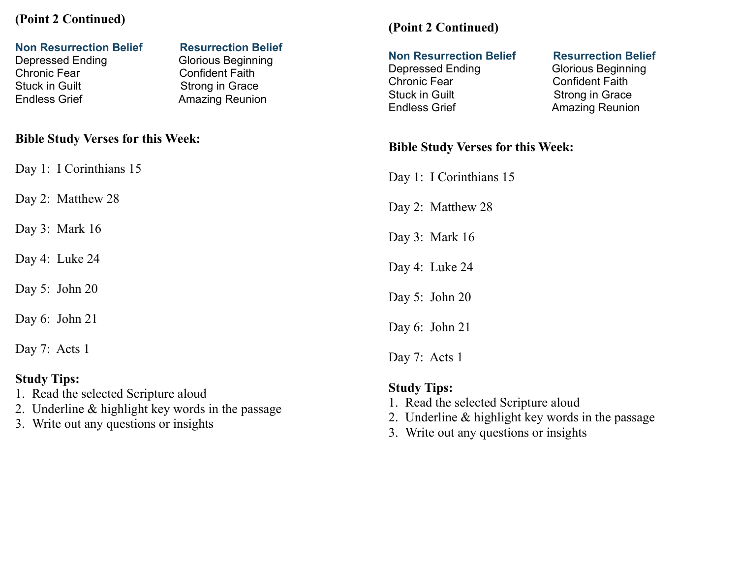## **(Point 2 Continued)**

#### **Non Resurrection Belief Resurrection Belief** Depressed Ending Glorious Beginning Chronic Fear Confident Faith Stuck in Guilt Strong in Grace Endless Grief **Amazing Reunion Bible Study Verses for this Week:**  Day 1: I Corinthians 15 Day 2: Matthew 28 Day 3: Mark 16 Day 4: Luke 24 Day 5: John 20 Day 6: John 21 Day 7: Acts 1 **(Point 2 Continued) Non Resurrection Belief Resurrection Belief** Depressed Ending Glorious Beginning Chronic Fear Confident Faith Stuck in Guilt Strong in Grace Endless Grief **Amazing Reunion Bible Study Verses for this Week:**  Day 1: I Corinthians 15 Day 2: Matthew 28 Day 3: Mark 16 Day 4: Luke 24 Day 5: John 20 Day 6: John 21 Day 7: Acts 1

### **Study Tips:**

- 1. Read the selected Scripture aloud
- 2. Underline & highlight key words in the passage
- 3. Write out any questions or insights
- **Study Tips:** 1. Read the selected Scripture aloud
- 2. Underline & highlight key words in the passage
- 3. Write out any questions or insights